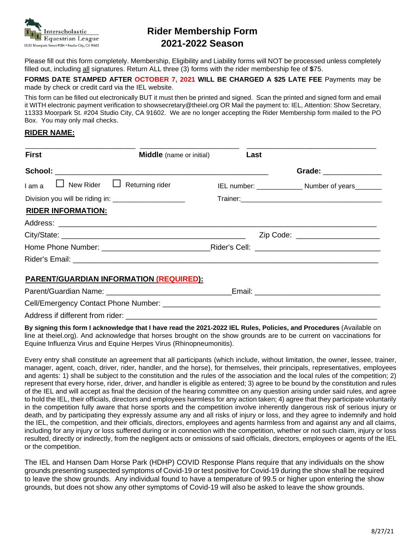

## **Rider Membership Form 2021-2022 Season**

Please fill out this form completely. Membership, Eligibility and Liability forms will NOT be processed unless completely filled out, including all signatures. Return ALL three (3) forms with the rider membership fee of **\$**75.

**FORMS DATE STAMPED AFTER OCTOBER 7, 2021 WILL BE CHARGED A \$25 LATE FEE** Payments may be made by check or credit card via the IEL website.

This form can be filled out electronically BUT it must then be printed and signed. Scan the printed and signed form and email it WITH electronic payment verification to showsecretary@theiel.org OR Mail the payment to: IEL, Attention: Show Secretary, 11333 Moorpark St. #204 Studio City, CA 91602. We are no longer accepting the Rider Membership form mailed to the PO Box. You may only mail checks.

## **RIDER NAME:**

| <b>First</b>                                                                     | <b>Middle</b> (name or initial) <b>Last</b> |  |  |                                                   |
|----------------------------------------------------------------------------------|---------------------------------------------|--|--|---------------------------------------------------|
|                                                                                  |                                             |  |  | Grade: ______________                             |
|                                                                                  |                                             |  |  | IEL number: ______________ Number of years_______ |
| Division you will be riding in: ______________________                           |                                             |  |  |                                                   |
| <b>RIDER INFORMATION:</b>                                                        |                                             |  |  |                                                   |
|                                                                                  |                                             |  |  |                                                   |
|                                                                                  |                                             |  |  | Zip Code: _______________________                 |
|                                                                                  |                                             |  |  |                                                   |
|                                                                                  |                                             |  |  |                                                   |
| <b>PARENT/GUARDIAN INFORMATION (REQUIRED):</b>                                   |                                             |  |  |                                                   |
| Parent/Guardian Name: _________________________________Email: __________________ |                                             |  |  |                                                   |
|                                                                                  |                                             |  |  |                                                   |

Address if different from rider:

**By signing this form I acknowledge that I have read the 2021-2022 IEL Rules, Policies, and Procedures** (Available on line at theiel.org). And acknowledge that horses brought on the show grounds are to be current on vaccinations for Equine Influenza Virus and Equine Herpes Virus (Rhinopneumonitis).

Every entry shall constitute an agreement that all participants (which include, without limitation, the owner, lessee, trainer, manager, agent, coach, driver, rider, handler, and the horse), for themselves, their principals, representatives, employees and agents: 1) shall be subject to the constitution and the rules of the association and the local rules of the competition; 2) represent that every horse, rider, driver, and handler is eligible as entered; 3) agree to be bound by the constitution and rules of the IEL and will accept as final the decision of the hearing committee on any question arising under said rules, and agree to hold the IEL, their officials, directors and employees harmless for any action taken; 4) agree that they participate voluntarily in the competition fully aware that horse sports and the competition involve inherently dangerous risk of serious injury or death, and by participating they expressly assume any and all risks of injury or loss, and they agree to indemnify and hold the IEL, the competition, and their officials, directors, employees and agents harmless from and against any and all claims, including for any injury or loss suffered during or in connection with the competition, whether or not such claim, injury or loss resulted, directly or indirectly, from the negligent acts or omissions of said officials, directors, employees or agents of the IEL or the competition.

The IEL and Hansen Dam Horse Park (HDHP) COVID Response Plans require that any individuals on the show grounds presenting suspected symptoms of Covid-19 or test positive for Covid-19 during the show shall be required to leave the show grounds. Any individual found to have a temperature of 99.5 or higher upon entering the show grounds, but does not show any other symptoms of Covid-19 will also be asked to leave the show grounds.